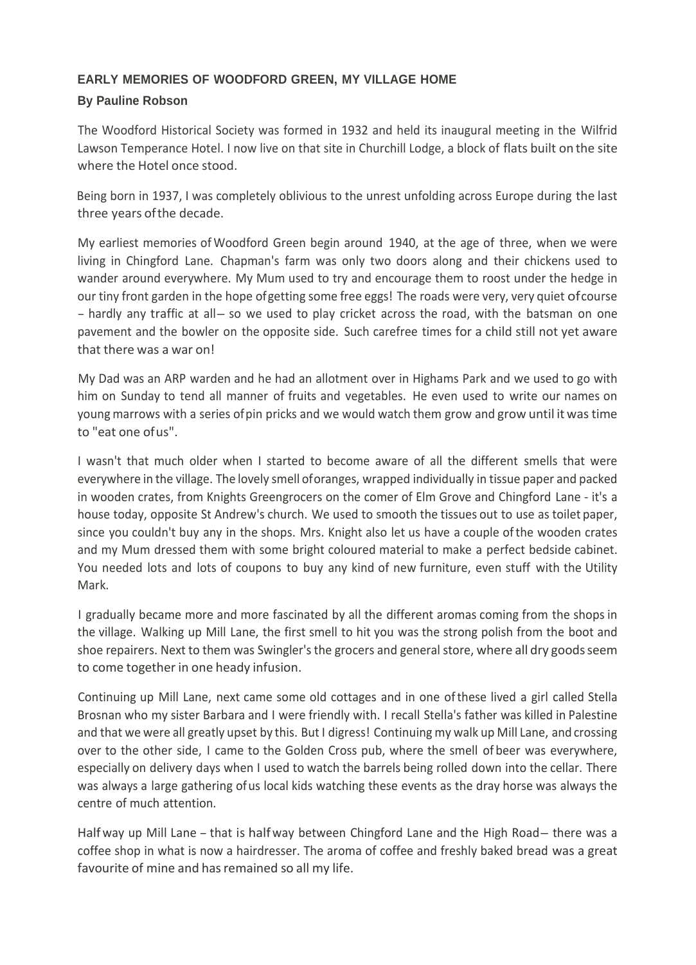## **EARLY MEMORIES OF WOODFORD GREEN, MY VILLAGE HOME**

## **By Pauline Robson**

The Woodford Historical Society was formed in 1932 and held its inaugural meeting in the Wilfrid Lawson Temperance Hotel. I now live on that site in Churchill Lodge, a block of flats built on the site where the Hotel once stood.

Being born in 1937, I was completely oblivious to the unrest unfolding across Europe during the last three years ofthe decade.

My earliest memories of Woodford Green begin around 1940, at the age of three, when we were living in Chingford Lane. Chapman's farm was only two doors along and their chickens used to wander around everywhere. My Mum used to try and encourage them to roost under the hedge in our tiny front garden in the hope ofgetting some free eggs! The roads were very, very quiet ofcourse - hardly any traffic at all-so we used to play cricket across the road, with the batsman on one pavement and the bowler on the opposite side. Such carefree times for a child still not yet aware that there was a war on!

My Dad was an ARP warden and he had an allotment over in Highams Park and we used to go with him on Sunday to tend all manner of fruits and vegetables. He even used to write our names on young marrows with a series ofpin pricks and we would watch them grow and grow until it was time to "eat one ofus".

I wasn't that much older when I started to become aware of all the different smells that were everywhere in the village. The lovely smell oforanges, wrapped individually in tissue paper and packed in wooden crates, from Knights Greengrocers on the comer of Elm Grove and Chingford Lane - it's a house today, opposite St Andrew's church. We used to smooth the tissues out to use as toilet paper, since you couldn't buy any in the shops. Mrs. Knight also let us have a couple ofthe wooden crates and my Mum dressed them with some bright coloured material to make a perfect bedside cabinet. You needed lots and lots of coupons to buy any kind of new furniture, even stuff with the Utility Mark.

I gradually became more and more fascinated by all the different aromas coming from the shops in the village. Walking up Mill Lane, the first smell to hit you was the strong polish from the boot and shoe repairers. Next to them was Swingler's the grocers and general store, where all dry goods seem to come together in one heady infusion.

Continuing up Mill Lane, next came some old cottages and in one ofthese lived a girl called Stella Brosnan who my sister Barbara and I were friendly with. I recall Stella's father was killed in Palestine and that we were all greatly upset by this. But I digress! Continuing my walk up Mill Lane, and crossing over to the other side, I came to the Golden Cross pub, where the smell of beer was everywhere, especially on delivery days when I used to watch the barrels being rolled down into the cellar. There was always a large gathering ofus local kids watching these events as the dray horse was always the centre of much attention.

Half way up Mill Lane - that is half way between Chingford Lane and the High Road-there was a coffee shop in what is now a hairdresser. The aroma of coffee and freshly baked bread was a great favourite of mine and has remained so all my life.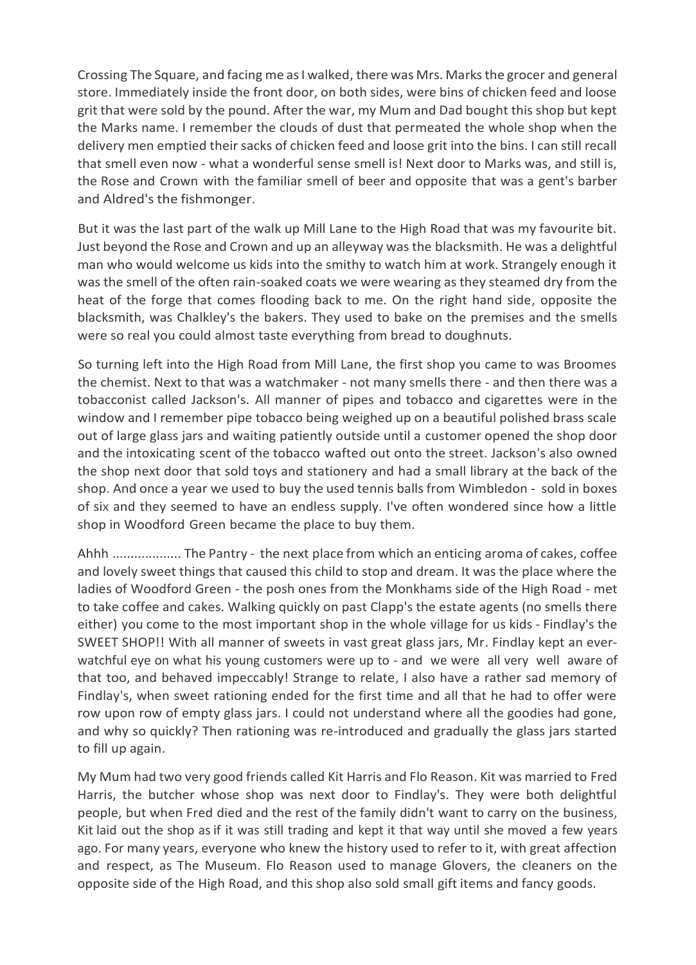Crossing The Square, and facing me as I walked, there was Mrs. Marks the grocer and general store. Immediately inside the front door, on both sides, were bins of chicken feed and loose grit that were sold by the pound. After the war, my Mum and Dad bought this shop but kept the Marks name. I remember the clouds of dust that permeated the whole shop when the delivery men emptied their sacks of chicken feed and loose grit into the bins. I can still recall that smell even now - what a wonderful sense smell is! Next door to Marks was, and still is, the Rose and Crown with the familiar smell of beer and opposite that was a gent's barber and Aldred's the fishmonger.

But it was the last part of the walk up Mill Lane to the High Road that was my favourite bit. Just beyond the Rose and Crown and up an alleyway was the blacksmith. He was a delightful man who would welcome us kids into the smithy to watch him at work. Strangely enough it was the smell of the often rain-soaked coats we were wearing as they steamed dry from the heat of the forge that comes flooding back to me. On the right hand side, opposite the blacksmith, was Chalkley's the bakers. They used to bake on the premises and the smells were so real you could almost taste everything from bread to doughnuts.

So turning left into the High Road from Mill Lane, the first shop you came to was Broomes the chemist. Next to that was a watchmaker - not many smells there - and then there was a tobacconist called Jackson's. All manner of pipes and tobacco and cigarettes were in the window and I remember pipe tobacco being weighed up on a beautiful polished brass scale out of large glass jars and waiting patiently outside until a customer opened the shop door and the intoxicating scent of the tobacco wafted out onto the street. Jackson's also owned the shop next door that sold toys and stationery and had a small library at the back of the shop. And once a year we used to buy the used tennis balls from Wimbledon - sold in boxes of six and they seemed to have an endless supply. I've often wondered since how a little shop in Woodford Green became the place to buy them.

Ahhh ................... The Pantry - the next place from which an enticing aroma of cakes, coffee and lovely sweet things that caused this child to stop and dream. It was the place where the ladies of Woodford Green - the posh ones from the Monkhams side of the High Road - met to take coffee and cakes. Walking quickly on past Clapp's the estate agents (no smells there either) you come to the most important shop in the whole village for us kids - Findlay's the SWEET SHOP!! With all manner of sweets in vast great glass jars, Mr. Findlay kept an everwatchful eye on what his young customers were up to - and we were all very well aware of that too, and behaved impeccably! Strange to relate, I also have a rather sad memory of Findlay's, when sweet rationing ended for the first time and all that he had to offer were row upon row of empty glass jars. I could not understand where all the goodies had gone, and why so quickly? Then rationing was re-introduced and gradually the glass jars started to fill up again.

My Mum had two very good friends called Kit Harris and Flo Reason. Kit was married to Fred Harris, the butcher whose shop was next door to Findlay's. They were both delightful people, but when Fred died and the rest of the family didn't want to carry on the business, Kit laid out the shop as if it was still trading and kept it that way until she moved a few years ago. For many years, everyone who knew the history used to refer to it, with great affection and respect, as The Museum. Flo Reason used to manage Glovers, the cleaners on the opposite side of the High Road, and this shop also sold small gift items and fancy goods.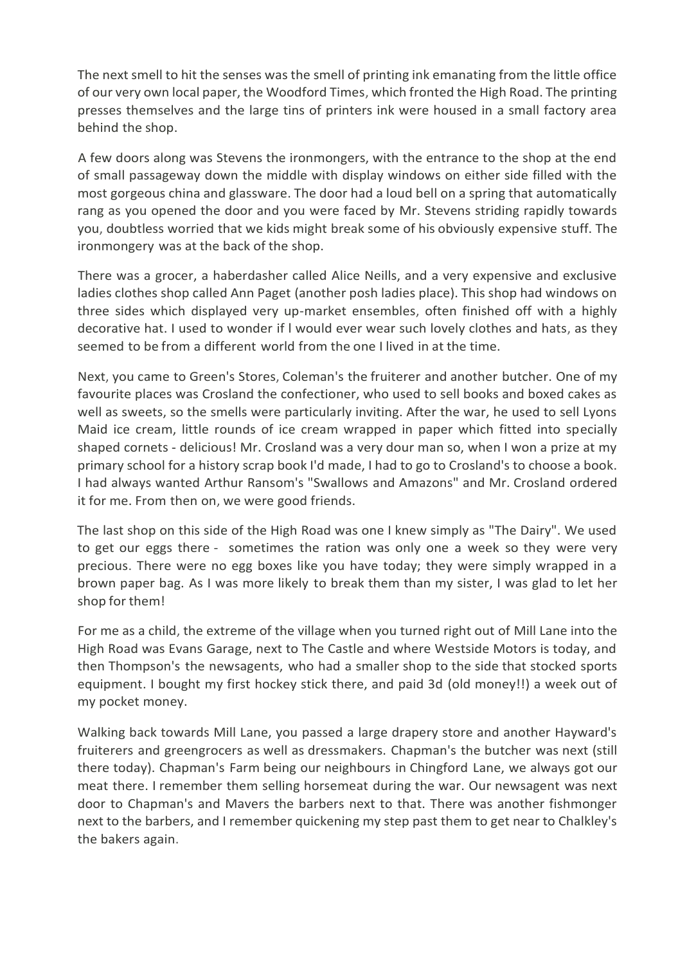The next smell to hit the senses was the smell of printing ink emanating from the little office of our very own local paper, the Woodford Times, which fronted the High Road. The printing presses themselves and the large tins of printers ink were housed in a small factory area behind the shop.

A few doors along was Stevens the ironmongers, with the entrance to the shop at the end of small passageway down the middle with display windows on either side filled with the most gorgeous china and glassware. The door had a loud bell on a spring that automatically rang as you opened the door and you were faced by Mr. Stevens striding rapidly towards you, doubtless worried that we kids might break some of his obviously expensive stuff. The ironmongery was at the back of the shop.

There was a grocer, a haberdasher called Alice Neills, and a very expensive and exclusive ladies clothes shop called Ann Paget (another posh ladies place). This shop had windows on three sides which displayed very up-market ensembles, often finished off with a highly decorative hat. I used to wonder if l would ever wear such lovely clothes and hats, as they seemed to be from a different world from the one I lived in at the time.

Next, you came to Green's Stores, Coleman's the fruiterer and another butcher. One of my favourite places was Crosland the confectioner, who used to sell books and boxed cakes as well as sweets, so the smells were particularly inviting. After the war, he used to sell Lyons Maid ice cream, little rounds of ice cream wrapped in paper which fitted into specially shaped cornets - delicious! Mr. Crosland was a very dour man so, when I won a prize at my primary school for a history scrap book I'd made, I had to go to Crosland's to choose a book. I had always wanted Arthur Ransom's "Swallows and Amazons" and Mr. Crosland ordered it for me. From then on, we were good friends.

The last shop on this side of the High Road was one I knew simply as "The Dairy". We used to get our eggs there - sometimes the ration was only one a week so they were very precious. There were no egg boxes like you have today; they were simply wrapped in a brown paper bag. As I was more likely to break them than my sister, I was glad to let her shop for them!

For me as a child, the extreme of the village when you turned right out of Mill Lane into the High Road was Evans Garage, next to The Castle and where Westside Motors is today, and then Thompson's the newsagents, who had a smaller shop to the side that stocked sports equipment. I bought my first hockey stick there, and paid 3d (old money!!) a week out of my pocket money.

Walking back towards Mill Lane, you passed a large drapery store and another Hayward's fruiterers and greengrocers as well as dressmakers. Chapman's the butcher was next (still there today). Chapman's Farm being our neighbours in Chingford Lane, we always got our meat there. I remember them selling horsemeat during the war. Our newsagent was next door to Chapman's and Mavers the barbers next to that. There was another fishmonger next to the barbers, and I remember quickening my step past them to get near to Chalkley's the bakers again.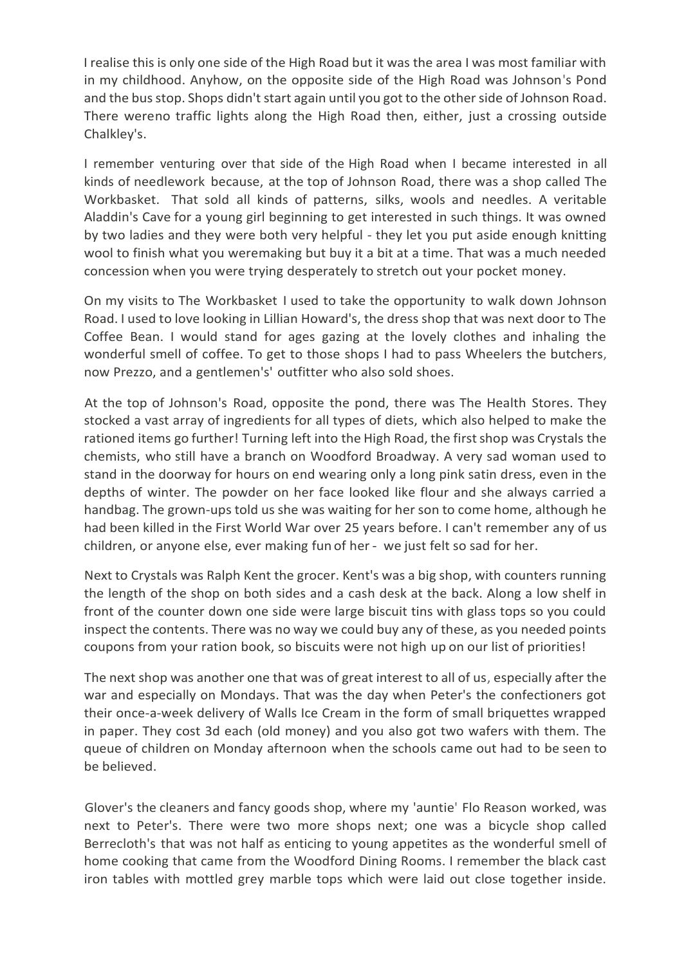I realise this is only one side of the High Road but it was the area I was most familiar with in my childhood. Anyhow, on the opposite side of the High Road was Johnson's Pond and the bus stop. Shops didn't start again until you got to the other side of Johnson Road. There wereno traffic lights along the High Road then, either, just a crossing outside Chalkley's.

I remember venturing over that side of the High Road when I became interested in all kinds of needlework because, at the top of Johnson Road, there was a shop called The Workbasket. That sold all kinds of patterns, silks, wools and needles. A veritable Aladdin's Cave for a young girl beginning to get interested in such things. It was owned by two ladies and they were both very helpful - they let you put aside enough knitting wool to finish what you weremaking but buy it a bit at a time. That was a much needed concession when you were trying desperately to stretch out your pocket money.

On my visits to The Workbasket I used to take the opportunity to walk down Johnson Road. I used to love looking in Lillian Howard's, the dress shop that was next door to The Coffee Bean. I would stand for ages gazing at the lovely clothes and inhaling the wonderful smell of coffee. To get to those shops I had to pass Wheelers the butchers, now Prezzo, and a gentlemen's' outfitter who also sold shoes.

At the top of Johnson's Road, opposite the pond, there was The Health Stores. They stocked a vast array of ingredients for all types of diets, which also helped to make the rationed items go further! Turning left into the High Road, the first shop was Crystals the chemists, who still have a branch on Woodford Broadway. A very sad woman used to stand in the doorway for hours on end wearing only a long pink satin dress, even in the depths of winter. The powder on her face looked like flour and she always carried a handbag. The grown-ups told us she was waiting for her son to come home, although he had been killed in the First World War over 25 years before. I can't remember any of us children, or anyone else, ever making fun of her- we just felt so sad for her.

Next to Crystals was Ralph Kent the grocer. Kent's was a big shop, with counters running the length of the shop on both sides and a cash desk at the back. Along a low shelf in front of the counter down one side were large biscuit tins with glass tops so you could inspect the contents. There was no way we could buy any of these, as you needed points coupons from your ration book, so biscuits were not high up on our list of priorities!

The next shop was another one that was of great interest to all of us, especially after the war and especially on Mondays. That was the day when Peter's the confectioners got their once-a-week delivery of Walls Ice Cream in the form of small briquettes wrapped in paper. They cost 3d each (old money) and you also got two wafers with them. The queue of children on Monday afternoon when the schools came out had to be seen to be believed.

Glover's the cleaners and fancy goods shop, where my 'auntie' Flo Reason worked, was next to Peter's. There were two more shops next; one was a bicycle shop called Berrecloth's that was not half as enticing to young appetites as the wonderful smell of home cooking that came from the Woodford Dining Rooms. I remember the black cast iron tables with mottled grey marble tops which were laid out close together inside.